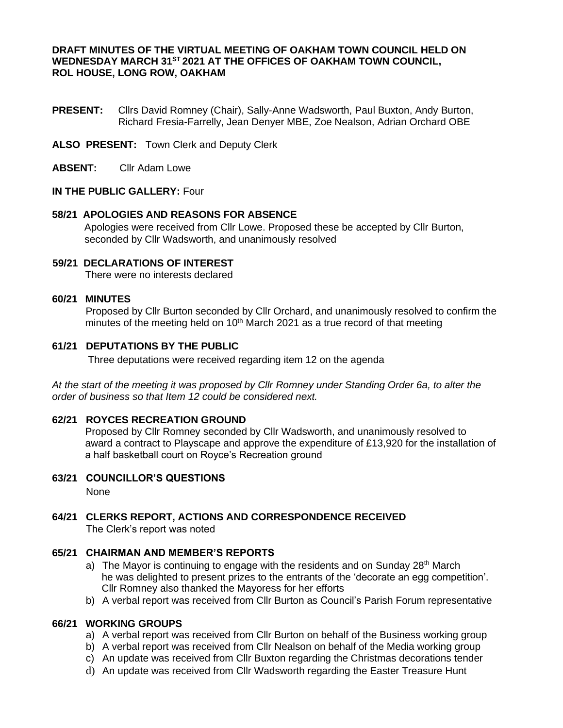#### **DRAFT MINUTES OF THE VIRTUAL MEETING OF OAKHAM TOWN COUNCIL HELD ON WEDNESDAY MARCH 31ST 2021 AT THE OFFICES OF OAKHAM TOWN COUNCIL, ROL HOUSE, LONG ROW, OAKHAM**

- **PRESENT:** Cllrs David Romney (Chair), Sally-Anne Wadsworth, Paul Buxton, Andy Burton, Richard Fresia-Farrelly, Jean Denyer MBE, Zoe Nealson, Adrian Orchard OBE
- **ALSO PRESENT:** Town Clerk and Deputy Clerk
- **ABSENT:** Cllr Adam Lowe

#### **IN THE PUBLIC GALLERY:** Four

#### **58/21 APOLOGIES AND REASONS FOR ABSENCE**

Apologies were received from Cllr Lowe. Proposed these be accepted by Cllr Burton, seconded by Cllr Wadsworth, and unanimously resolved

# **59/21 DECLARATIONS OF INTEREST**

There were no interests declared

#### **60/21 MINUTES**

Proposed by Cllr Burton seconded by Cllr Orchard, and unanimously resolved to confirm the minutes of the meeting held on  $10<sup>th</sup>$  March 2021 as a true record of that meeting

#### **61/21 DEPUTATIONS BY THE PUBLIC**

Three deputations were received regarding item 12 on the agenda

*At the start of the meeting it was proposed by Cllr Romney under Standing Order 6a, to alter the order of business so that Item 12 could be considered next.*

#### **62/21 ROYCES RECREATION GROUND**

Proposed by Cllr Romney seconded by Cllr Wadsworth, and unanimously resolved to award a contract to Playscape and approve the expenditure of £13,920 for the installation of a half basketball court on Royce's Recreation ground

#### **63/21 COUNCILLOR'S QUESTIONS**

None

## **64/21 CLERKS REPORT, ACTIONS AND CORRESPONDENCE RECEIVED**

The Clerk's report was noted

#### **65/21 CHAIRMAN AND MEMBER'S REPORTS**

- a) The Mayor is continuing to engage with the residents and on Sunday 28<sup>th</sup> March he was delighted to present prizes to the entrants of the 'decorate an egg competition'. Cllr Romney also thanked the Mayoress for her efforts
- b) A verbal report was received from Cllr Burton as Council's Parish Forum representative

#### **66/21 WORKING GROUPS**

- a) A verbal report was received from Cllr Burton on behalf of the Business working group
- b) A verbal report was received from Cllr Nealson on behalf of the Media working group
- c) An update was received from Cllr Buxton regarding the Christmas decorations tender
- d) An update was received from Cllr Wadsworth regarding the Easter Treasure Hunt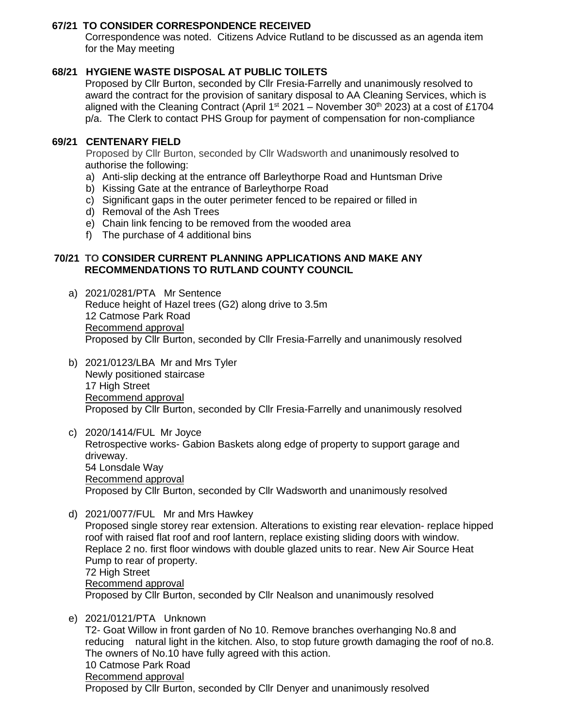## **67/21 TO CONSIDER CORRESPONDENCE RECEIVED**

Correspondence was noted. Citizens Advice Rutland to be discussed as an agenda item for the May meeting

## **68/21 HYGIENE WASTE DISPOSAL AT PUBLIC TOILETS**

Proposed by Cllr Burton, seconded by Cllr Fresia-Farrelly and unanimously resolved to award the contract for the provision of sanitary disposal to AA Cleaning Services, which is aligned with the Cleaning Contract (April 1<sup>st</sup> 2021 – November 30<sup>th</sup> 2023) at a cost of £1704 p/a. The Clerk to contact PHS Group for payment of compensation for non-compliance

## **69/21 CENTENARY FIELD**

Proposed by Cllr Burton, seconded by Cllr Wadsworth and unanimously resolved to authorise the following:

- a) Anti-slip decking at the entrance off Barleythorpe Road and Huntsman Drive
- b) Kissing Gate at the entrance of Barleythorpe Road
- c) Significant gaps in the outer perimeter fenced to be repaired or filled in
- d) Removal of the Ash Trees
- e) Chain link fencing to be removed from the wooded area
- f) The purchase of 4 additional bins

#### **70/21 TO CONSIDER CURRENT PLANNING APPLICATIONS AND MAKE ANY RECOMMENDATIONS TO RUTLAND COUNTY COUNCIL**

- a) 2021/0281/PTA Mr Sentence Reduce height of Hazel trees (G2) along drive to 3.5m 12 Catmose Park Road Recommend approval Proposed by Cllr Burton, seconded by Cllr Fresia-Farrelly and unanimously resolved
- b) 2021/0123/LBA Mr and Mrs Tyler Newly positioned staircase 17 High Street Recommend approval Proposed by Cllr Burton, seconded by Cllr Fresia-Farrelly and unanimously resolved

c) 2020/1414/FUL Mr Joyce Retrospective works- Gabion Baskets along edge of property to support garage and driveway. 54 Lonsdale Way Recommend approval Proposed by Cllr Burton, seconded by Cllr Wadsworth and unanimously resolved

- d) 2021/0077/FUL Mr and Mrs Hawkey Proposed single storey rear extension. Alterations to existing rear elevation- replace hipped roof with raised flat roof and roof lantern, replace existing sliding doors with window. Replace 2 no. first floor windows with double glazed units to rear. New Air Source Heat Pump to rear of property. 72 High Street Recommend approval Proposed by Cllr Burton, seconded by Cllr Nealson and unanimously resolved
- e) 2021/0121/PTA Unknown T2- Goat Willow in front garden of No 10. Remove branches overhanging No.8 and reducing natural light in the kitchen. Also, to stop future growth damaging the roof of no.8. The owners of No.10 have fully agreed with this action. 10 Catmose Park Road Recommend approval Proposed by Cllr Burton, seconded by Cllr Denyer and unanimously resolved